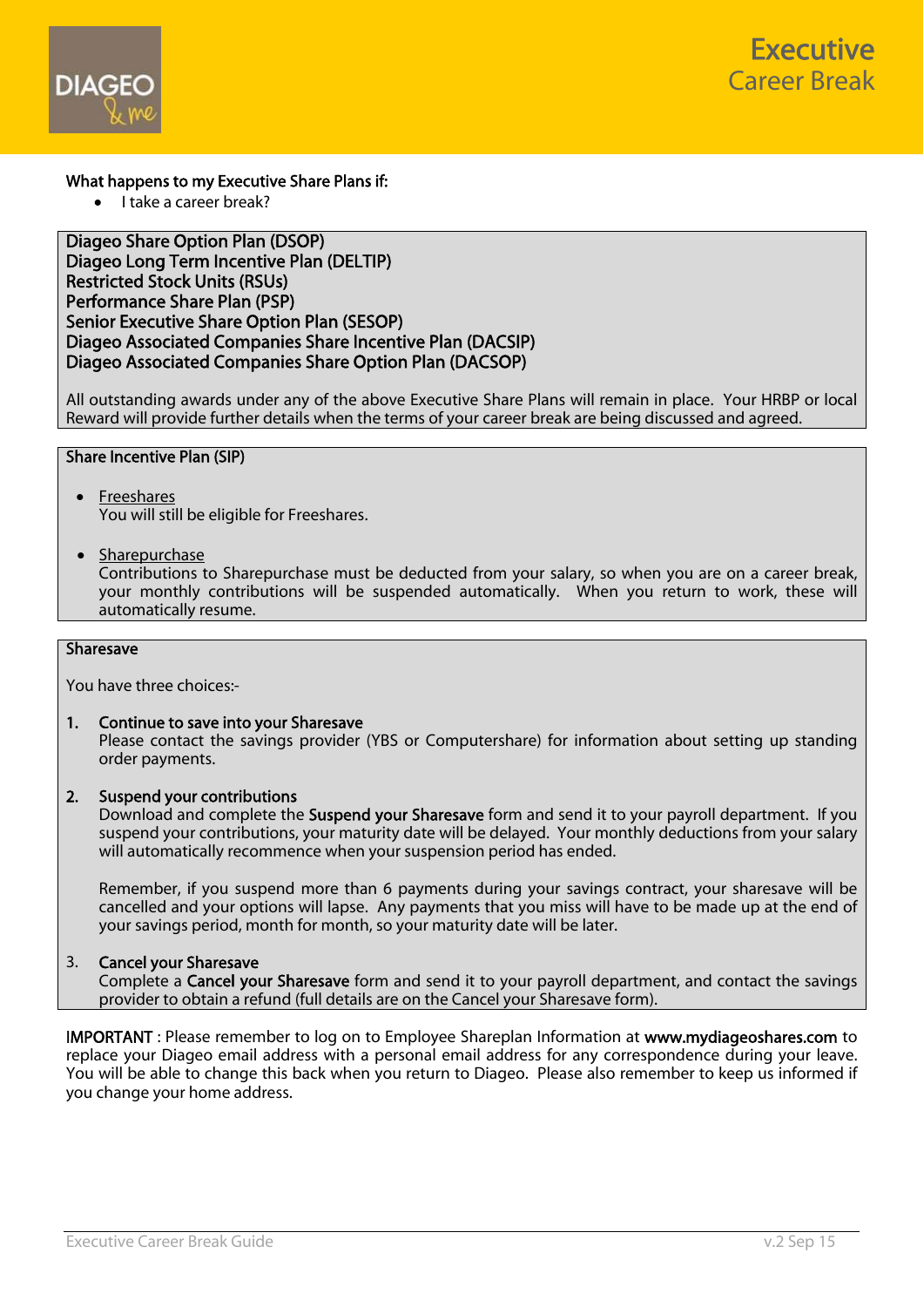



## What happens to my Executive Share Plans if:

 $\bullet$  I take a career break?

## Diageo Share Option Plan (DSOP) Diageo Long Term Incentive Plan (DELTIP) Restricted Stock Units (RSUs) Performance Share Plan (PSP) Senior Executive Share Option Plan (SESOP) Diageo Associated Companies Share Incentive Plan (DACSIP) Diageo Associated Companies Share Option Plan (DACSOP)

All outstanding awards under any of the above Executive Share Plans will remain in place. Your HRBP or local Reward will provide further details when the terms of your career break are being discussed and agreed.

# Share Incentive Plan (SIP)

- Freeshares You will still be eligible for Freeshares.
- Sharepurchase

 Contributions to Sharepurchase must be deducted from your salary, so when you are on a career break, your monthly contributions will be suspended automatically. When you return to work, these will automatically resume.

## **Sharesave**

You have three choices:-

1. Continue to save into your Sharesave Please contact the savings provider (YBS or Computershare) for information about setting up standing order payments.

#### 2. Suspend your contributions

Download and complete the **[Suspend your Sharesave](http://www.mydiageoshares.com/Downloadable Items/Suspend Sharesave.pdf)** form and send it to your payroll department. If you suspend your contributions, your maturity date will be delayed. Your monthly deductions from your salary will automatically recommence when your suspension period has ended.

 Remember, if you suspend more than 6 payments during your savings contract, your sharesave will be cancelled and your options will lapse. Any payments that you miss will have to be made up at the end of your savings period, month for month, so your maturity date will be later.

#### 3. Cancel your Sharesave

Complete a [Cancel your Sharesave](http://www.mydiageoshares.com/Downloadable Items/Cancel Sharesave.pdf) form and send it to your payroll department, and contact the savings provider to obtain a refund (full details are on the Cancel your Sharesave form).

IMPORTANT : Please remember to log on to Employee Shareplan Information at www.mydiageoshares.com to replace your Diageo email address with a personal email address for any correspondence during your leave. You will be able to change this back when you return to Diageo. Please also remember to keep us informed if you change your home address.